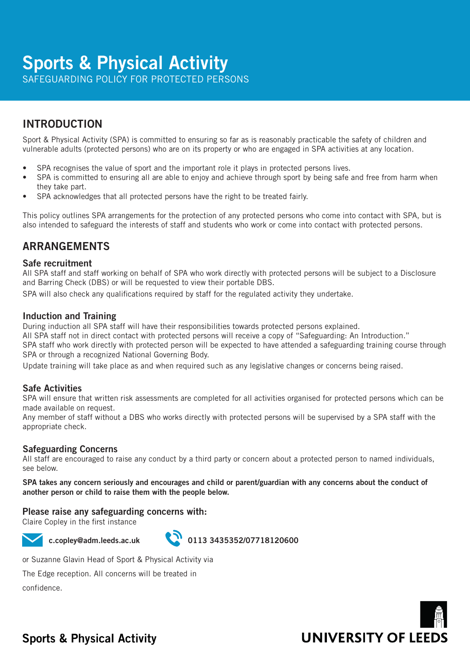# **Sports & Physical Activity**

SAFEGUARDING POLICY FOR PROTECTED PERSONS

## INTRODUCTION

Sport & Physical Activity (SPA) is committed to ensuring so far as is reasonably practicable the safety of children and vulnerable adults (protected persons) who are on its property or who are engaged in SPA activities at any location.

- SPA recognises the value of sport and the important role it plays in protected persons lives.
- SPA is committed to ensuring all are able to enjoy and achieve through sport by being safe and free from harm when they take part.
- SPA acknowledges that all protected persons have the right to be treated fairly.

This policy outlines SPA arrangements for the protection of any protected persons who come into contact with SPA, but is also intended to safeguard the interests of staff and students who work or come into contact with protected persons.

### ARRANGEMENTS

### Safe recruitment

All SPA staff and staff working on behalf of SPA who work directly with protected persons will be subject to a Disclosure and Barring Check (DBS) or will be requested to view their portable DBS.

SPA will also check any qualifications required by staff for the regulated activity they undertake.

### Induction and Training

During induction all SPA staff will have their responsibilities towards protected persons explained.

All SPA staff not in direct contact with protected persons will receive a copy of "Safeguarding: An Introduction."

SPA staff who work directly with protected person will be expected to have attended a safeguarding training course through SPA or through a recognized National Governing Body.

Update training will take place as and when required such as any legislative changes or concerns being raised.

### Safe Activities

SPA will ensure that written risk assessments are completed for all activities organised for protected persons which can be made available on request.

Any member of staff without a DBS who works directly with protected persons will be supervised by a SPA staff with the appropriate check.

### Safeguarding Concerns

All staff are encouraged to raise any conduct by a third party or concern about a protected person to named individuals, see below.

SPA takes any concern seriously and encourages and child or parent/guardian with any concerns about the conduct of another person or child to raise them with the people below.

### Please raise any safeguarding concerns with:

Claire Copley in the first instance



c.copley@adm.leeds.ac.uk 0113 3435352/07718120600

or Suzanne Glavin Head of Sport & Physical Activity via

The Edge reception. All concerns will be treated in

confidence.



## **Sports & Physical Activity**